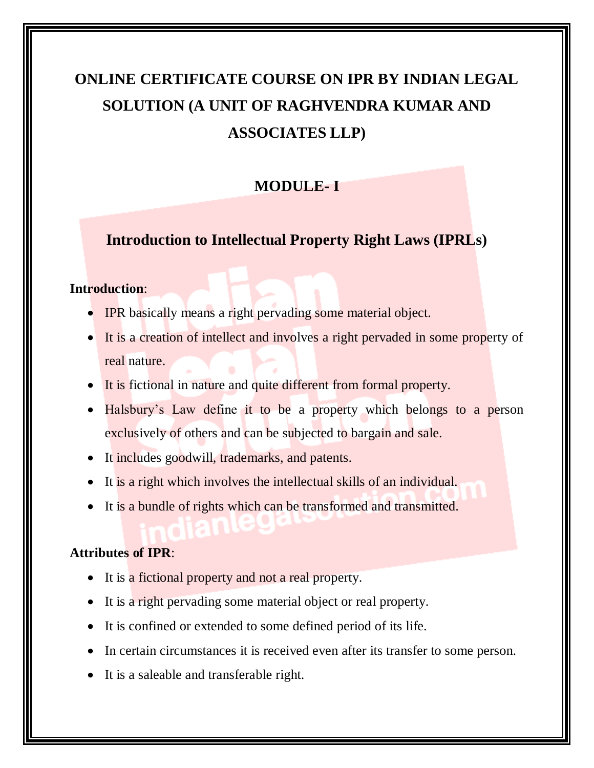# **ONLINE CERTIFICATE COURSE ON IPR BY INDIAN LEGAL SOLUTION (A UNIT OF RAGHVENDRA KUMAR AND ASSOCIATES LLP)**

# **MODULE- I**

# **Introduction to Intellectual Property Right Laws (IPRLs)**

## **Introduction**:

- IPR basically means a right pervading some material object.
- It is a creation of intellect and involves a right pervaded in some property of real nature.
- It is fictional in nature and quite different from formal property.
- Halsbury's Law define it to be a property which belongs to a person exclusively of others and can be subjected to bargain and sale.
- It includes goodwill, trademarks, and patents.
- It is a right which involves the intellectual skills of an individual.
- It is a bundle of rights which can be transformed and transmitted.

# **Attributes of IPR**:

- It is a fictional property and not a real property.
- It is a right pervading some material object or real property.
- It is confined or extended to some defined period of its life.
- In certain circumstances it is received even after its transfer to some person.
- It is a saleable and transferable right.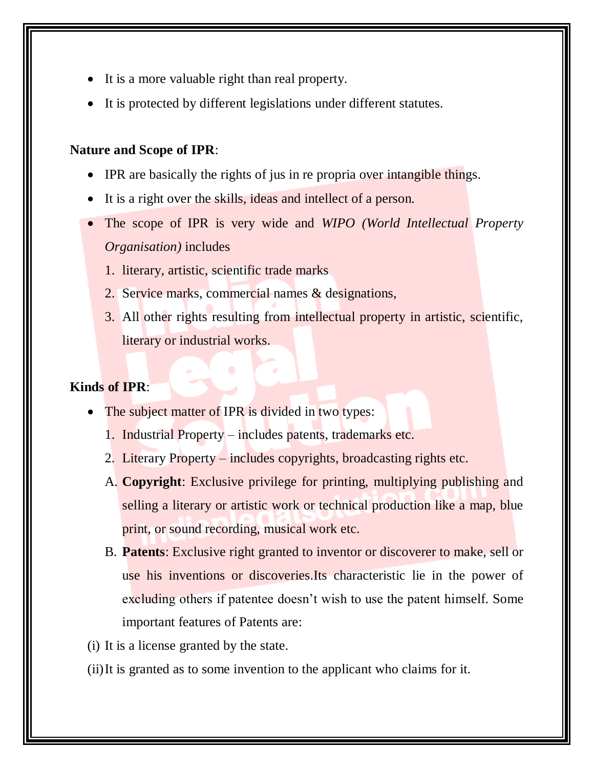- It is a more valuable right than real property.
- It is protected by different legislations under different statutes.

#### **Nature and Scope of IPR**:

- IPR are basically the rights of jus in re propria over intangible things.
- It is a right over the skills, ideas and intellect of a person.
- The scope of IPR is very wide and *WIPO (World Intellectual Property Organisation)* includes
	- 1. literary, artistic, scientific trade marks
	- 2. Service marks, commercial names & designations,
	- 3. All other rights resulting from intellectual property in artistic, scientific, literary or industrial works.

# **Kinds of IPR**:

- The subject matter of IPR is divided in two types:
	- 1. Industrial Property includes patents, trademarks etc.
	- 2. Literary Property includes copyrights, broadcasting rights etc.
	- A. **Copyright**: Exclusive privilege for printing, multiplying publishing and selling a literary or artistic work or technical production like a map, blue print, or sound recording, musical work etc.
	- B. **Patents**: Exclusive right granted to inventor or discoverer to make, sell or use his inventions or discoveries.Its characteristic lie in the power of excluding others if patentee doesn't wish to use the patent himself. Some important features of Patents are:

(i) It is a license granted by the state.

(ii)It is granted as to some invention to the applicant who claims for it.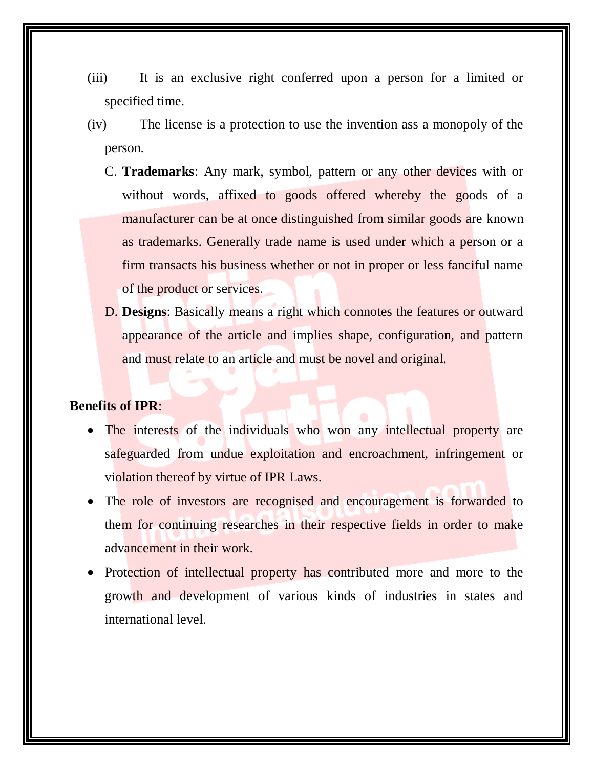- (iii) It is an exclusive right conferred upon a person for a limited or specified time.
- (iv) The license is a protection to use the invention ass a monopoly of the person.
	- C. **Trademarks**: Any mark, symbol, pattern or any other devices with or without words, affixed to goods offered whereby the goods of a manufacturer can be at once distinguished from similar goods are known as trademarks. Generally trade name is used under which a person or a firm transacts his business whether or not in proper or less fanciful name of the product or services.
	- D. **Designs**: Basically means a right which connotes the features or outward appearance of the article and implies shape, configuration, and pattern and must relate to an article and must be novel and original.

#### **Benefits of IPR**:

- The interests of the individuals who won any intellectual property are safeguarded from undue exploitation and encroachment, infringement or violation thereof by virtue of IPR Laws.
- The role of investors are recognised and encouragement is forwarded to them for continuing researches in their respective fields in order to make advancement in their work.
- Protection of intellectual property has contributed more and more to the growth and development of various kinds of industries in states and international level.